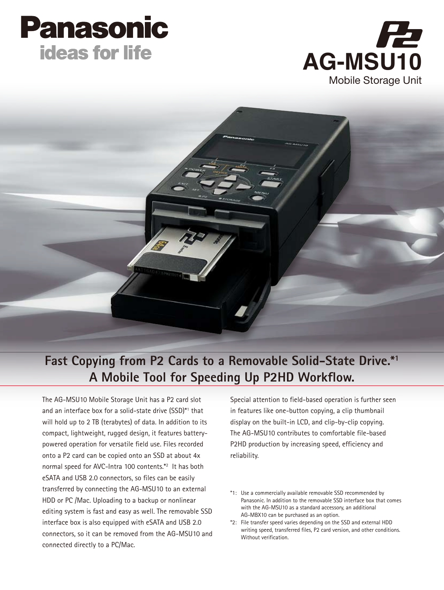# **Panasonic ideas for life**





### **Fast Copying from P2 Cards to a Removable Solid-State Drive.\*1 A Mobile Tool for Speeding Up P2HD Workflow.**

The AG-MSU10 Mobile Storage Unit has a P2 card slot and an interface box for a solid-state drive (SSD)\*1 that will hold up to 2 TB (terabytes) of data. In addition to its compact, lightweight, rugged design, it features batterypowered operation for versatile field use. Files recorded onto a P2 card can be copied onto an SSD at about 4x normal speed for AVC-Intra 100 contents.\*2 It has both eSATA and USB 2.0 connectors, so files can be easily transferred by connecting the AG-MSU10 to an external HDD or PC /Mac. Uploading to a backup or nonlinear editing system is fast and easy as well. The removable SSD interface box is also equipped with eSATA and USB 2.0 connectors, so it can be removed from the AG-MSU10 and connected directly to a PC/Mac.

Special attention to field-based operation is further seen in features like one-button copying, a clip thumbnail display on the built-in LCD, and clip-by-clip copying. The AG-MSU10 contributes to comfortable file-based P2HD production by increasing speed, efficiency and reliability.

- \*1: Use a commercially available removable SSD recommended by Panasonic. In addition to the removable SSD interface box that comes with the AG-MSU10 as a standard accessory, an additional AG-MBX10 can be purchased as an option.
- \*2: File transfer speed varies depending on the SSD and external HDD writing speed, transferred files, P2 card version, and other conditions. Without verification.